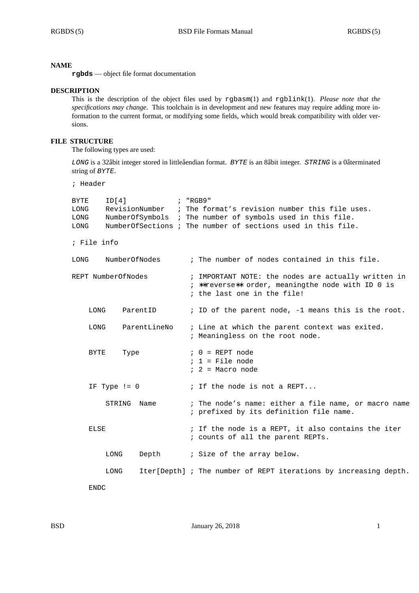#### **NAME**

**rgbds** — object file format documentation

#### **DESCRIPTION**

This is the description of the object files used by rgbasm(1) and rgblink(1). *Please note that the specifications may change*. This toolchain is in development and new features may require adding more information to the current format, or modifying some fields, which would break compatibility with older versions.

## **FILE STRUCTURE**

The following types are used:

*LONG* is a 32âbit integer stored in littleâendian format. *BYTE* is an 8âbit integer. *STRING* is a 0âterminated string of *BYTE*.

; Header

| ID[4]<br>BYTE<br>LONG<br>LONG<br>LONG |                | : "RGB9"<br>RevisionNumber ; The format's revision number this file uses.<br>NumberOfSymbols ; The number of symbols used in this file.<br>NumberOfSections ; The number of sections used in this file. |
|---------------------------------------|----------------|---------------------------------------------------------------------------------------------------------------------------------------------------------------------------------------------------------|
| ; File info                           |                |                                                                                                                                                                                                         |
| LONG                                  | NumberOfNodes  | ; The number of nodes contained in this file.                                                                                                                                                           |
| REPT NumberOfNodes                    |                | ; IMPORTANT NOTE: the nodes are actually written in<br>; **reverse** order, meaningthe node with ID 0 is<br>; the last one in the file!                                                                 |
| LONG                                  | ParentID       | ; ID of the parent node, -1 means this is the root.                                                                                                                                                     |
| LONG                                  | ParentLineNo   | ; Line at which the parent context was exited.<br>; Meaningless on the root node.                                                                                                                       |
| <b>BYTE</b>                           | Type           | $: 0 = REPT node$<br>$: 1 =$ File node<br>$: 2 = Macro node$                                                                                                                                            |
| IF Type $!= 0$                        |                | ; If the node is not a REPT                                                                                                                                                                             |
|                                       | STRING<br>Name | ; The node's name: either a file name, or macro name<br>; prefixed by its definition file name.                                                                                                         |
| ELSE                                  |                | ; If the node is a REPT, it also contains the iter<br>; counts of all the parent REPTs.                                                                                                                 |
| LONG                                  | Depth          | ; Size of the array below.                                                                                                                                                                              |
| LONG                                  |                | Iter[Depth] ; The number of REPT iterations by increasing depth.                                                                                                                                        |
| <b>ENDC</b>                           |                |                                                                                                                                                                                                         |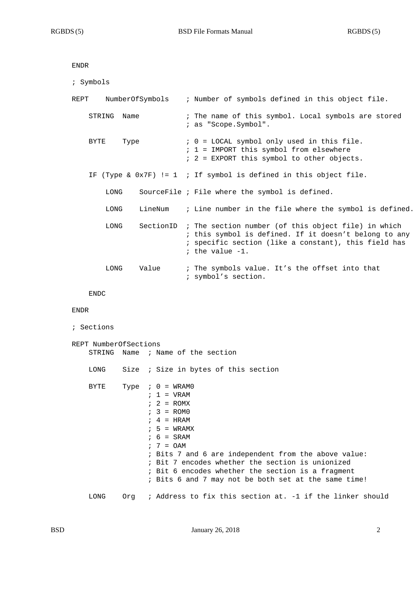```
ENDR
```

| ; Symbols               |                                                                                                                                                                                                      |
|-------------------------|------------------------------------------------------------------------------------------------------------------------------------------------------------------------------------------------------|
| NumberOfSymbols<br>REPT | ; Number of symbols defined in this object file.                                                                                                                                                     |
| STRING<br>Name          | ; The name of this symbol. Local symbols are stored<br>; as "Scope.Symbol".                                                                                                                          |
| BYTE<br>Type            | $: 0 =$ LOCAL symbol only used in this file.<br>$: 1 =$ IMPORT this symbol from elsewhere<br>$: 2 = EXPORT$ this symbol to other objects.                                                            |
|                         | IF (Type & $0x7F$ ) != 1 ; If symbol is defined in this object file.                                                                                                                                 |
| LONG                    | SourceFile ; File where the symbol is defined.                                                                                                                                                       |
| LineNum<br>LONG         | ; Line number in the file where the symbol is defined.                                                                                                                                               |
| LONG                    | SectionID ; The section number (of this object file) in which<br>; this symbol is defined. If it doesn't belong to any<br>; specific section (like a constant), this field has<br>; the value $-1$ . |
| Value<br>LONG           | ; The symbols value. It's the offset into that<br>; symbol's section.                                                                                                                                |
| <b>ENDC</b>             |                                                                                                                                                                                                      |
| ENDR                    |                                                                                                                                                                                                      |

```
; Sections
REPT NumberOfSections
   STRING Name ; Name of the section
   LONG Size ; Size in bytes of this section
   BYTE Type : 0 = WRAM0; 1 = \text{VRAM}; 2 = ROMX; 3 = ROM0; 4 = HRAM; 5 = WRAMX; 6 = SRAM; 7 = OAM; Bits 7 and 6 are independent from the above value:
                 ; Bit 7 encodes whether the section is unionized
                 ; Bit 6 encodes whether the section is a fragment
                 ; Bits 6 and 7 may not be both set at the same time!
   LONG Org ; Address to fix this section at. -1 if the linker should
```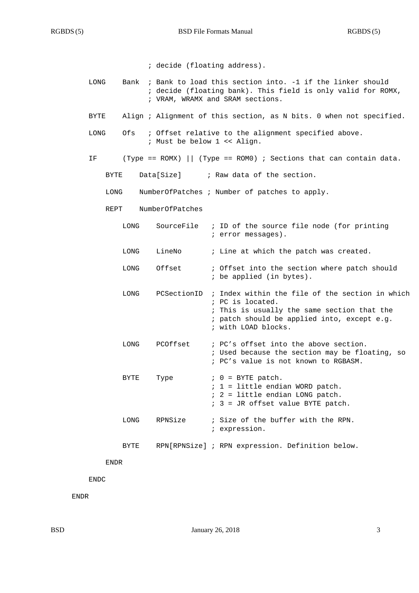```
; decide (floating address).
```
- LONG Bank ; Bank to load this section into. -1 if the linker should ; decide (floating bank). This field is only valid for ROMX, ; VRAM, WRAMX and SRAM sections.
- BYTE Align ; Alignment of this section, as N bits. 0 when not specified.
- LONG Ofs ; Offset relative to the alignment specified above. ; Must be below 1 << Align.
- IF (Type == ROMX) || (Type == ROM0) ; Sections that can contain data.
	- BYTE Data[Size] ; Raw data of the section.

LONG NumberOfPatches ; Number of patches to apply.

REPT NumberOfPatches

| LONG |          | SourceFile ; ID of the source file node (for printing<br>; error messages).                                                                                                                          |
|------|----------|------------------------------------------------------------------------------------------------------------------------------------------------------------------------------------------------------|
| LONG | LineNo   | ; Line at which the patch was created.                                                                                                                                                               |
| LONG | Offset   | ; Offset into the section where patch should<br>; be applied (in bytes).                                                                                                                             |
| LONG |          | PCSectionID ; Index within the file of the section in which<br>; PC is located.<br>; This is usually the same section that the<br>; patch should be applied into, except e.g.<br>; with LOAD blocks. |
| LONG | PCOffset | ; PC's offset into the above section.<br>; Used because the section may be floating, so<br>; PC's value is not known to RGBASM.                                                                      |
| BYTE | Type     | $: 0 = BYTE$ patch.<br>$: 1 =$ little endian WORD patch.<br>$: 2 =$ little endian LONG patch.<br>$: 3 = JR$ offset value BYTE patch.                                                                 |

LONG RPNSize ; Size of the buffer with the RPN. ; expression.

BYTE RPN[RPNSize] ; RPN expression. Definition below.

ENDR

ENDC

ENDR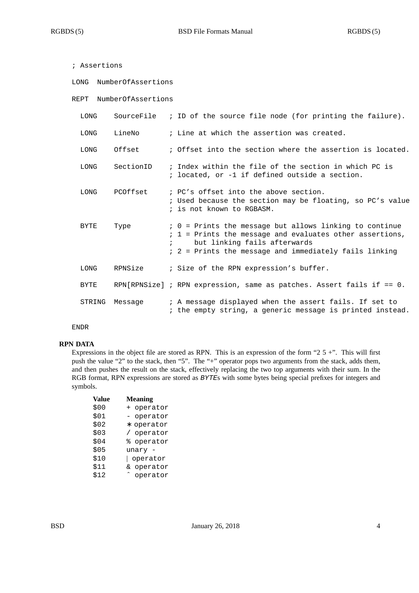| ; Assertions               |                         |  |                                                                                                                                                                                                                                                         |  |
|----------------------------|-------------------------|--|---------------------------------------------------------------------------------------------------------------------------------------------------------------------------------------------------------------------------------------------------------|--|
|                            | LONG NumberOfAssertions |  |                                                                                                                                                                                                                                                         |  |
| NumberOfAssertions<br>REPT |                         |  |                                                                                                                                                                                                                                                         |  |
| LONG                       |                         |  | Source File $\quad$ ; ID of the source file node (for printing the failure).                                                                                                                                                                            |  |
| LONG                       | LineNo                  |  | ; Line at which the assertion was created.                                                                                                                                                                                                              |  |
| LONG                       | Offset                  |  | ; Offset into the section where the assertion is located.                                                                                                                                                                                               |  |
| LONG                       | SectionID               |  | ; Index within the file of the section in which PC is<br>; located, or -1 if defined outside a section.                                                                                                                                                 |  |
| LONG                       | PCOffset                |  | ; PC's offset into the above section.<br>; Used because the section may be floating, so PC's value<br>; is not known to RGBASM.                                                                                                                         |  |
| BYTE                       | Type                    |  | ; 0 = Prints the message but allows linking to continue<br>; 1 = Prints the message and evaluates other assertions,<br>but linking fails afterwards<br>$\mathcal{L}$ . The same $\mathcal{L}$<br>; 2 = Prints the message and immediately fails linking |  |
| LONG                       | RPNSize                 |  | ; Size of the RPN expression's buffer.                                                                                                                                                                                                                  |  |
| <b>BYTE</b>                |                         |  | RPN[RPNSize] ; RPN expression, same as patches. Assert fails if $== 0$ .                                                                                                                                                                                |  |
| STRING                     | Message                 |  | ; A message displayed when the assert fails. If set to<br>; the empty string, a generic message is printed instead.                                                                                                                                     |  |

ENDR

## **RPN DATA**

Expressions in the object file are stored as RPN. This is an expression of the form "2  $5 +$ ". This will first push the value "2" to the stack, then "5". The "+" operator pops two arguments from the stack, adds them, and then pushes the result on the stack, effectively replacing the two top arguments with their sum. In the RGB format, RPN expressions are stored as *BYTE*s with some bytes being special prefixes for integers and symbols.

| Value | <b>Meaning</b>     |
|-------|--------------------|
| \$00  | operator<br>$^+$   |
| \$01  | operator           |
| \$02  | operator<br>$\ast$ |
| \$03  | operator           |
| \$04  | operator<br>ఄ      |
| \$05  | unary              |
| \$10  | operator           |
| \$11  | operator<br>δc.    |
| \$12  | operator           |